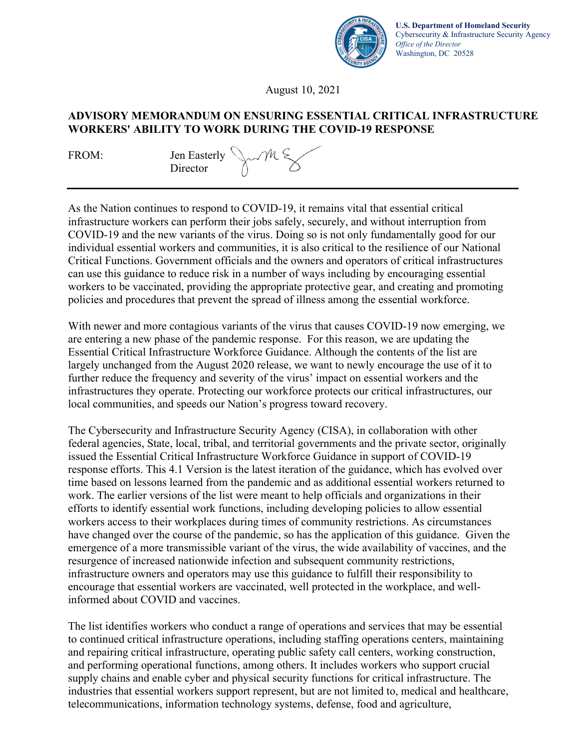

**U.S. Department of Homeland Security** Cybersecurity & Infrastructure Security Agency *Office of the Director* Washington, DC 20528

August 10, 2021

#### **ADVISORY MEMORANDUM ON ENSURING ESSENTIAL CRITICAL INFRASTRUCTURE WORKERS' ABILITY TO WORK DURING THE COVID-19 RESPONSE**

FROM: Jen Easterly Director



As the Nation continues to respond to COVID-19, it remains vital that essential critical infrastructure workers can perform their jobs safely, securely, and without interruption from COVID-19 and the new variants of the virus. Doing so is not only fundamentally good for our individual essential workers and communities, it is also critical to the resilience of our National Critical Functions. Government officials and the owners and operators of critical infrastructures can use this guidance to reduce risk in a number of ways including by encouraging essential workers to be vaccinated, providing the appropriate protective gear, and creating and promoting policies and procedures that prevent the spread of illness among the essential workforce.

With newer and more contagious variants of the virus that causes COVID-19 now emerging, we are entering a new phase of the pandemic response. For this reason, we are updating the Essential Critical Infrastructure Workforce Guidance. Although the contents of the list are largely unchanged from the August 2020 release, we want to newly encourage the use of it to further reduce the frequency and severity of the virus' impact on essential workers and the infrastructures they operate. Protecting our workforce protects our critical infrastructures, our local communities, and speeds our Nation's progress toward recovery.

The Cybersecurity and Infrastructure Security Agency (CISA), in collaboration with other federal agencies, State, local, tribal, and territorial governments and the private sector, originally issued the Essential Critical Infrastructure Workforce Guidance in support of COVID-19 response efforts. This 4.1 Version is the latest iteration of the guidance, which has evolved over time based on lessons learned from the pandemic and as additional essential workers returned to work. The earlier versions of the list were meant to help officials and organizations in their efforts to identify essential work functions, including developing policies to allow essential workers access to their workplaces during times of community restrictions. As circumstances have changed over the course of the pandemic, so has the application of this guidance. Given the emergence of a more transmissible variant of the virus, the wide availability of vaccines, and the resurgence of increased nationwide infection and subsequent community restrictions, infrastructure owners and operators may use this guidance to fulfill their responsibility to encourage that essential workers are vaccinated, well protected in the workplace, and wellinformed about COVID and vaccines.

The list identifies workers who conduct a range of operations and services that may be essential to continued critical infrastructure operations, including staffing operations centers, maintaining and repairing critical infrastructure, operating public safety call centers, working construction, and performing operational functions, among others. It includes workers who support crucial supply chains and enable cyber and physical security functions for critical infrastructure. The industries that essential workers support represent, but are not limited to, medical and healthcare, telecommunications, information technology systems, defense, food and agriculture,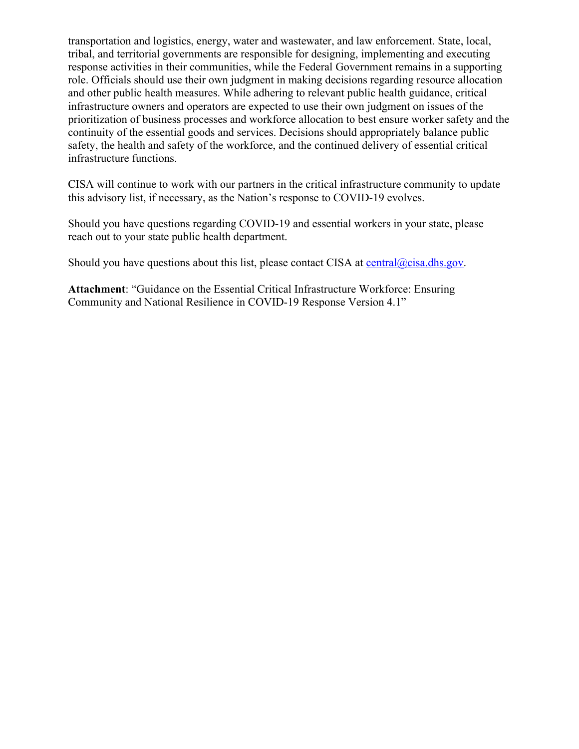transportation and logistics, energy, water and wastewater, and law enforcement. State, local, tribal, and territorial governments are responsible for designing, implementing and executing response activities in their communities, while the Federal Government remains in a supporting role. Officials should use their own judgment in making decisions regarding resource allocation and other public health measures. While adhering to relevant public health guidance, critical infrastructure owners and operators are expected to use their own judgment on issues of the prioritization of business processes and workforce allocation to best ensure worker safety and the continuity of the essential goods and services. Decisions should appropriately balance public safety, the health and safety of the workforce, and the continued delivery of essential critical infrastructure functions.

CISA will continue to work with our partners in the critical infrastructure community to update this advisory list, if necessary, as the Nation's response to COVID-19 evolves.

Should you have questions regarding COVID-19 and essential workers in your state, please reach out to your state public health department.

Should you have questions about this list, please contact CISA at  $central@cisa.dhs.gov$ .

**Attachment**: "Guidance on the Essential Critical Infrastructure Workforce: Ensuring Community and National Resilience in COVID-19 Response Version 4.1"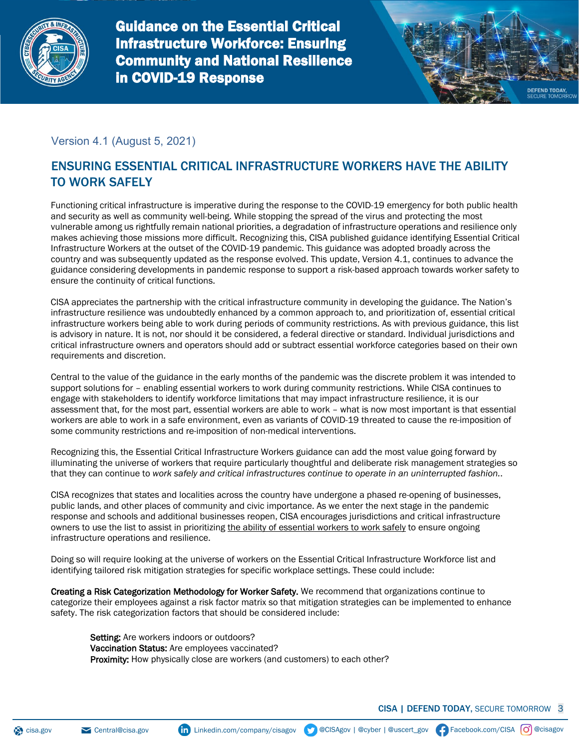

Guidance on the Essential Critical Infrastructure Workforce: Ensuring Community and National Resilience in COVID-19 Response



## Version 4.1 (August 5, 2021)

# ENSURING ESSENTIAL CRITICAL INFRASTRUCTURE WORKERS HAVE THE ABILITY TO WORK SAFELY

Functioning critical infrastructure is imperative during the response to the COVID-19 emergency for both public health and security as well as community well-being. While stopping the spread of the virus and protecting the most vulnerable among us rightfully remain national priorities, a degradation of infrastructure operations and resilience only makes achieving those missions more difficult. Recognizing this, CISA published guidance identifying Essential Critical Infrastructure Workers at the outset of the COVID-19 pandemic. This guidance was adopted broadly across the country and was subsequently updated as the response evolved. This update, Version 4.1, continues to advance the guidance considering developments in pandemic response to support a risk-based approach towards worker safety to ensure the continuity of critical functions.

CISA appreciates the partnership with the critical infrastructure community in developing the guidance. The Nation's infrastructure resilience was undoubtedly enhanced by a common approach to, and prioritization of, essential critical infrastructure workers being able to work during periods of community restrictions. As with previous guidance, this list is advisory in nature. It is not, nor should it be considered, a federal directive or standard. Individual jurisdictions and critical infrastructure owners and operators should add or subtract essential workforce categories based on their own requirements and discretion.

Central to the value of the guidance in the early months of the pandemic was the discrete problem it was intended to support solutions for – enabling essential workers to work during community restrictions. While CISA continues to engage with stakeholders to identify workforce limitations that may impact infrastructure resilience, it is our assessment that, for the most part, essential workers are able to work – what is now most important is that essential workers are able to work in a safe environment, even as variants of COVID-19 threated to cause the re-imposition of some community restrictions and re-imposition of non-medical interventions.

Recognizing this, the Essential Critical Infrastructure Workers guidance can add the most value going forward by illuminating the universe of workers that require particularly thoughtful and deliberate risk management strategies so that they can continue to *work safely and critical infrastructures continue to operate in an uninterrupted fashion.*.

CISA recognizes that states and localities across the country have undergone a phased re-opening of businesses, public lands, and other places of community and civic importance. As we enter the next stage in the pandemic response and schools and additional businesses reopen, CISA encourages jurisdictions and critical infrastructure owners to use the list to assist in prioritizing the ability of essential workers to work safely to ensure ongoing infrastructure operations and resilience.

Doing so will require looking at the universe of workers on the Essential Critical Infrastructure Workforce list and identifying tailored risk mitigation strategies for specific workplace settings. These could include:

Creating a Risk Categorization Methodology for Worker Safety. We recommend that organizations continue to categorize their employees against a risk factor matrix so that mitigation strategies can be implemented to enhance safety. The risk categorization factors that should be considered include:

Setting: Are workers indoors or outdoors? Vaccination Status: Are employees vaccinated? Proximity: How physically close are workers (and customers) to each other?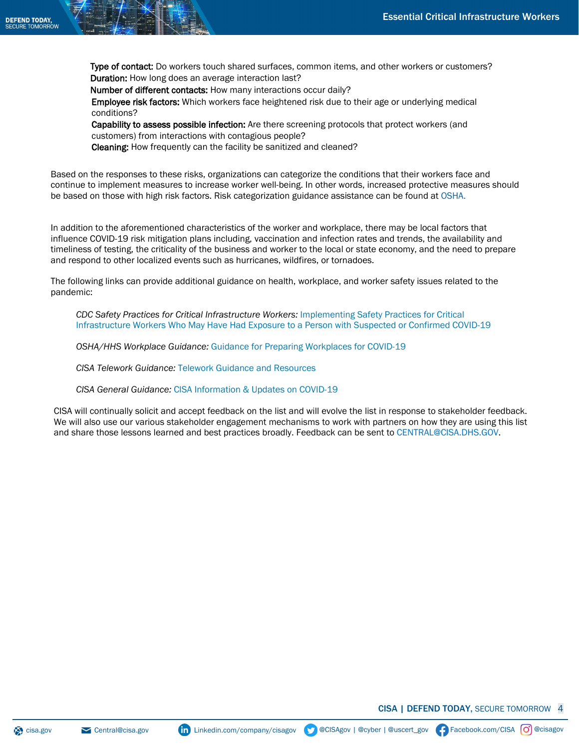Type of contact: Do workers touch shared surfaces, common items, and other workers or customers? Duration: How long does an average interaction last?

Number of different contacts: How many interactions occur daily?

Employee risk factors: Which workers face heightened risk due to their age or underlying medical conditions?

Capability to assess possible infection: Are there screening protocols that protect workers (and customers) from interactions with contagious people?

Cleaning: How frequently can the facility be sanitized and cleaned?

Based on the responses to these risks, organizations can categorize the conditions that their workers face and continue to implement measures to increase worker well-being. In other words, increased protective measures should be based on those with high risk factors. Risk categorization guidance assistance can be found at [OSHA.](https://www.osha.gov/Publications/OSHA3990.pdf)

In addition to the aforementioned characteristics of the worker and workplace, there may be local factors that influence COVID-19 risk mitigation plans including, vaccination and infection rates and trends, the availability and timeliness of testing, the criticality of the business and worker to the local or state economy, and the need to prepare and respond to other localized events such as hurricanes, wildfires, or tornadoes.

The following links can provide additional guidance on health, workplace, and worker safety issues related to the pandemic:

*[CDC Safety Practices for Critical Infrastructure Workers:](http://www.cdc.gov/coronavirus/2019-ncov/community/critical-workers/implementing-safety-practices.html)* Implementing Safety Practices for Critical Infrastructure Workers Who May Have [Had Exposure to a Person with Suspected or Confirmed COVID-19](http://www.cdc.gov/coronavirus/2019-ncov/community/critical-workers/implementing-safety-practices.html)

*OSHA/HHS Workplace Guidance:* [Guidance for Preparing Workplaces for COVID-19](http://www.osha.gov/Publications/OSHA3990.pdf)

*CISA Telework Guidance:* [Telework Guidance and Resources](https://www.cisa.gov/telework)

*CISA General Guidance:* [CISA Information & Updates on COVID-19](https://www.cisa.gov/coronavirus)

CISA will continually solicit and accept feedback on the list and will evolve the list in response to stakeholder feedback. We will also use our various stakeholder engagement mechanisms to work with partners on how they are using this list and share those lessons learned and best practices broadly. Feedback can be sent t[o CENTRAL@CISA.DHS.GOV.](mailto:%20cisa.cat@cisa.dhs.gov)

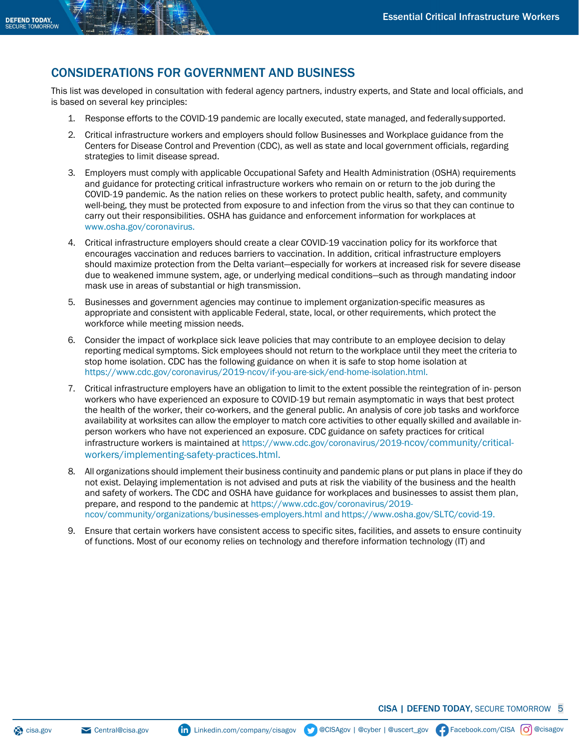## CONSIDERATIONS FOR GOVERNMENT AND BUSINESS

This list was developed in consultation with federal agency partners, industry experts, and State and local officials, and is based on several key principles:

- 1. Response efforts to the COVID-19 pandemic are locally executed, state managed, and federallysupported.
- 2. Critical infrastructure workers and employers should follow Businesses and Workplace guidance from the Centers for Disease Control and Prevention (CDC), as well as state and local government officials, regarding strategies to limit disease spread.
- 3. Employers must comply with applicable Occupational Safety and Health Administration (OSHA) requirements and guidance for protecting critical infrastructure workers who remain on or return to the job during the COVID-19 pandemic. As the nation relies on these workers to protect public health, safety, and community well-being, they must be protected from exposure to and infection from the virus so that they can continue to carry out their responsibilities. OSHA has guidance and enforcement information for workplaces at [www.osha.gov/coronavirus.](http://www.osha.gov/coronavirus)
- 4. Critical infrastructure employers should create a clear COVID-19 vaccination policy for its workforce that encourages vaccination and reduces barriers to vaccination. In addition, critical infrastructure employers should maximize protection from the Delta variant—especially for workers at increased risk for severe disease due to weakened immune system, age, or underlying medical conditions—such as through mandating indoor mask use in areas of substantial or high transmission.
- 5. Businesses and government agencies may continue to implement organization-specific measures as appropriate and consistent with applicable Federal, state, local, or other requirements, which protect the workforce while meeting mission needs.
- 6. Consider the impact of workplace sick leave policies that may contribute to an employee decision to delay reporting medical symptoms. Sick employees should not return to the workplace until they meet the criteria to stop home isolation. CDC has the following guidance on when it is safe to stop home isolation at [https://www.cdc.gov/coronavirus/2019-ncov/if-you-are-sick/end-home-isolation.html.](https://www.cdc.gov/coronavirus/2019-ncov/if-you-are-sick/end-home-isolation.html)
- 7. Critical infrastructure employers have an obligation to limit to the extent possible the reintegration of in- person workers who have experienced an exposure to COVID-19 but remain asymptomatic in ways that best protect the health of the worker, their co-workers, and the general public. An analysis of core job tasks and workforce availability at worksites can allow the employer to match core activities to other equally skilled and available inperson workers who have not experienced an exposure. CDC guidance on safety practices for critical infrastructure workers is maintained at [https://www.cdc.gov/coronavirus/2019-ncov/community/critical](https://www.cdc.gov/coronavirus/2019-ncov/community/critical-workers/implementing-safety-practices.html)[workers/implementing-safety-practices.html.](https://www.cdc.gov/coronavirus/2019-ncov/community/critical-workers/implementing-safety-practices.html)
- 8. All organizations should implement their business continuity and pandemic plans or put plans in place if they do not exist. Delaying implementation is not advised and puts at risk the viability of the business and the health and safety of workers. The CDC and OSHA have guidance for workplaces and businesses to assist them plan, [prepare, and respond to the pandemic at https://www.cdc.gov](https://www.cdc.gov/coronavirus/2019-ncov/community/organizations/business-employers.html)/coronavirus/2019 [ncov/community/organizations/businesses-employers.html a](https://www.cdc.gov/coronavirus/2019-ncov/community/organizations/business-employers.html)nd [https://www.osha.gov/SLTC/covid-19.](https://www.osha.gov/SLTC/covid-19)
- 9. Ensure that certain workers have consistent access to specific sites, facilities, and assets to ensure continuity of functions. Most of our economy relies on technology and therefore information technology (IT) and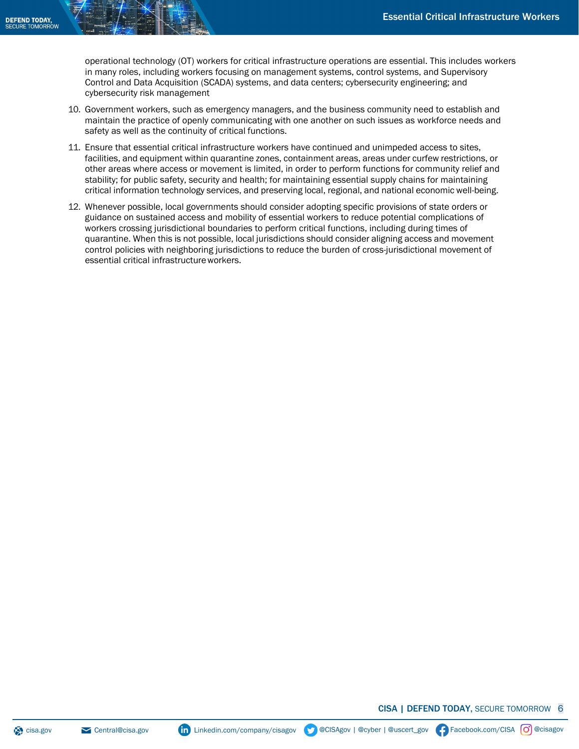operational technology (OT) workers for critical infrastructure operations are essential. This includes workers in many roles, including workers focusing on management systems, control systems, and Supervisory Control and Data Acquisition (SCADA) systems, and data centers; cybersecurity engineering; and cybersecurity risk management

- 10. Government workers, such as emergency managers, and the business community need to establish and maintain the practice of openly communicating with one another on such issues as workforce needs and safety as well as the continuity of critical functions.
- 11. Ensure that essential critical infrastructure workers have continued and unimpeded access to sites, facilities, and equipment within quarantine zones, containment areas, areas under curfew restrictions, or other areas where access or movement is limited, in order to perform functions for community relief and stability; for public safety, security and health; for maintaining essential supply chains for maintaining critical information technology services, and preserving local, regional, and national economic well-being.
- 12. Whenever possible, local governments should consider adopting specific provisions of state orders or guidance on sustained access and mobility of essential workers to reduce potential complications of workers crossing jurisdictional boundaries to perform critical functions, including during times of quarantine. When this is not possible, local jurisdictions should consider aligning access and movement control policies with neighboring jurisdictions to reduce the burden of cross-jurisdictional movement of essential critical infrastructureworkers.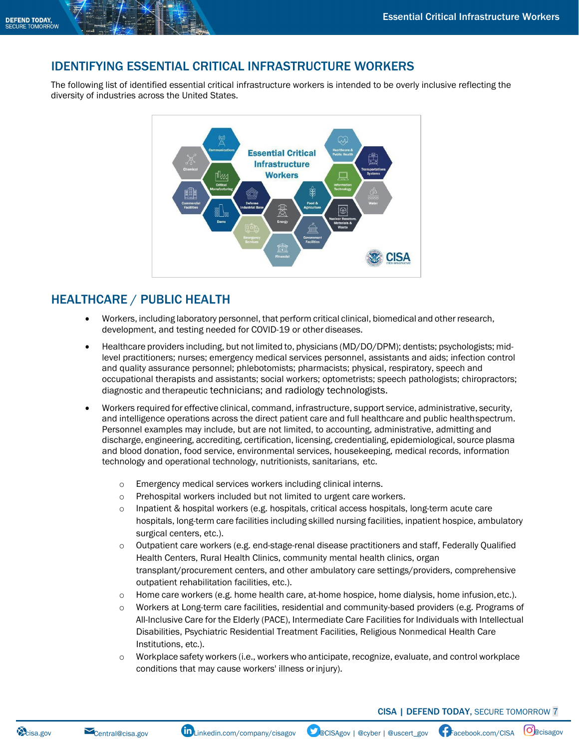## IDENTIFYING ESSENTIAL CRITICAL INFRASTRUCTURE WORKERS

The following list of identified essential critical infrastructure workers is intended to be overly inclusive reflecting the diversity of industries across the United States.



## HEALTHCARE / PUBLIC HEALTH

- Workers, including laboratory personnel, that perform critical clinical, biomedical and other research, development, and testing needed for COVID-19 or other diseases.
- Healthcare providers including, but not limited to, physicians (MD/DO/DPM); dentists; psychologists; midlevel practitioners; nurses; emergency medical services personnel, assistants and aids; infection control and quality assurance personnel; phlebotomists; pharmacists; physical, respiratory, speech and occupational therapists and assistants; social workers; optometrists; speech pathologists; chiropractors; diagnostic and therapeutic technicians; and radiology technologists.
- Workers required for effective clinical, command, infrastructure, support service, administrative, security, and intelligence operations across the direct patient care and full healthcare and public healthspectrum. Personnel examples may include, but are not limited, to accounting, administrative, admitting and discharge, engineering, accrediting, certification, licensing, credentialing, epidemiological, source plasma and blood donation, food service, environmental services, housekeeping, medical records, information technology and operational technology, nutritionists, sanitarians, etc.
	- o Emergency medical services workers including clinical interns.
	- o Prehospital workers included but not limited to urgent care workers.
	- $\circ$  Inpatient & hospital workers (e.g. hospitals, critical access hospitals, long-term acute care hospitals, long-term care facilities including skilled nursing facilities, inpatient hospice, ambulatory surgical centers, etc.).
	- o Outpatient care workers (e.g. end-stage-renal disease practitioners and staff, Federally Qualified Health Centers, Rural Health Clinics, community mental health clinics, organ transplant/procurement centers, and other ambulatory care settings/providers, comprehensive outpatient rehabilitation facilities, etc.).
	- o Home care workers (e.g. home health care, at-home hospice, home dialysis, home infusion,etc.).
	- o Workers at Long-term care facilities, residential and community-based providers (e.g. Programs of All-Inclusive Care for the Elderly (PACE), Intermediate Care Facilities for Individuals with Intellectual Disabilities, Psychiatric Residential Treatment Facilities, Religious Nonmedical Health Care Institutions, etc.).
	- o Workplace safety workers (i.e., workers who anticipate, recognize, evaluate, and control workplace conditions that may cause workers' illness orinjury).

CISA | DEFEND TODAY, SECURE TOMORROW 7

Cisa.gov [Central@cisa.gov](mailto:Central@cisa.gov) **in** [Linkedin.com/company/cisagov](https://linkedin.com/company/cisagov) ColSAgov | @cyber | @uscert\_gov | [Facebook.com/CISA](https://facebook.com/CISA) | O@cisagov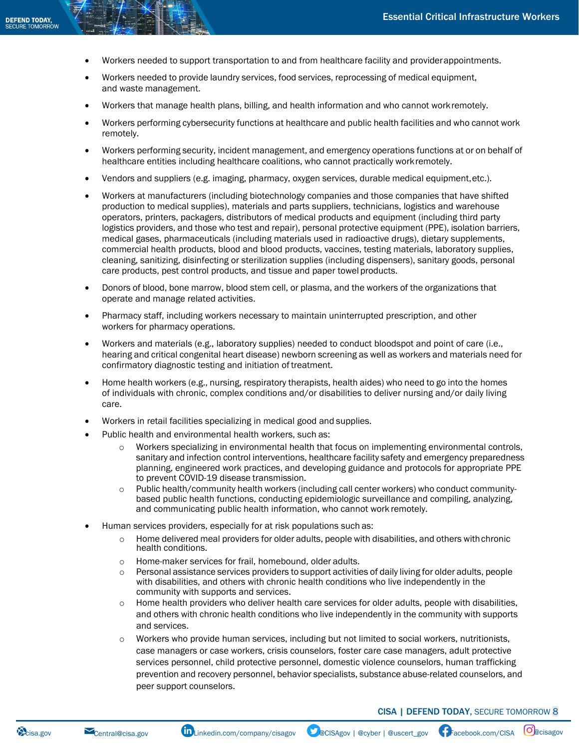- Workers needed to support transportation to and from healthcare facility and providerappointments.
- Workers needed to provide laundry services, food services, reprocessing of medical equipment, and waste management.
- Workers that manage health plans, billing, and health information and who cannot workremotely.
- Workers performing cybersecurity functions at healthcare and public health facilities and who cannot work remotely.
- Workers performing security, incident management, and emergency operations functions at or on behalf of healthcare entities including healthcare coalitions, who cannot practically workremotely.
- Vendors and suppliers (e.g. imaging, pharmacy, oxygen services, durable medical equipment,etc.).
- Workers at manufacturers (including biotechnology companies and those companies that have shifted production to medical supplies), materials and parts suppliers, technicians, logistics and warehouse operators, printers, packagers, distributors of medical products and equipment (including third party logistics providers, and those who test and repair), personal protective equipment (PPE), isolation barriers, medical gases, pharmaceuticals (including materials used in radioactive drugs), dietary supplements, commercial health products, blood and blood products, vaccines, testing materials, laboratory supplies, cleaning, sanitizing, disinfecting or sterilization supplies (including dispensers), sanitary goods, personal care products, pest control products, and tissue and paper towel products.
- Donors of blood, bone marrow, blood stem cell, or plasma, and the workers of the organizations that operate and manage related activities.
- Pharmacy staff, including workers necessary to maintain uninterrupted prescription, and other workers for pharmacy operations.
- Workers and materials (e.g., laboratory supplies) needed to conduct bloodspot and point of care (i.e., hearing and critical congenital heart disease) newborn screening as well as workers and materials need for confirmatory diagnostic testing and initiation of treatment.
- Home health workers (e.g., nursing, respiratory therapists, health aides) who need to go into the homes of individuals with chronic, complex conditions and/or disabilities to deliver nursing and/or daily living care.
- Workers in retail facilities specializing in medical good and supplies.
- Public health and environmental health workers, such as:
	- o Workers specializing in environmental health that focus on implementing environmental controls, sanitary and infection control interventions, healthcare facility safety and emergency preparedness planning, engineered work practices, and developing guidance and protocols for appropriate PPE to prevent COVID-19 disease transmission.
	- o Public health/community health workers (including call center workers) who conduct communitybased public health functions, conducting epidemiologic surveillance and compiling, analyzing, and communicating public health information, who cannot work remotely.
- Human services providers, especially for at risk populations such as:
	- $\circ$  Home delivered meal providers for older adults, people with disabilities, and others with chronic health conditions.
	- o Home-maker services for frail, homebound, older adults.
	- o Personal assistance services providers to support activities of daily living for older adults, people with disabilities, and others with chronic health conditions who live independently in the community with supports and services.
	- o Home health providers who deliver health care services for older adults, people with disabilities, and others with chronic health conditions who live independently in the community with supports and services.
	- o Workers who provide human services, including but not limited to social workers, nutritionists, case managers or case workers, crisis counselors, foster care case managers, adult protective services personnel, child protective personnel, domestic violence counselors, human trafficking prevention and recovery personnel, behavior specialists, substance abuse-related counselors, and peer support counselors.

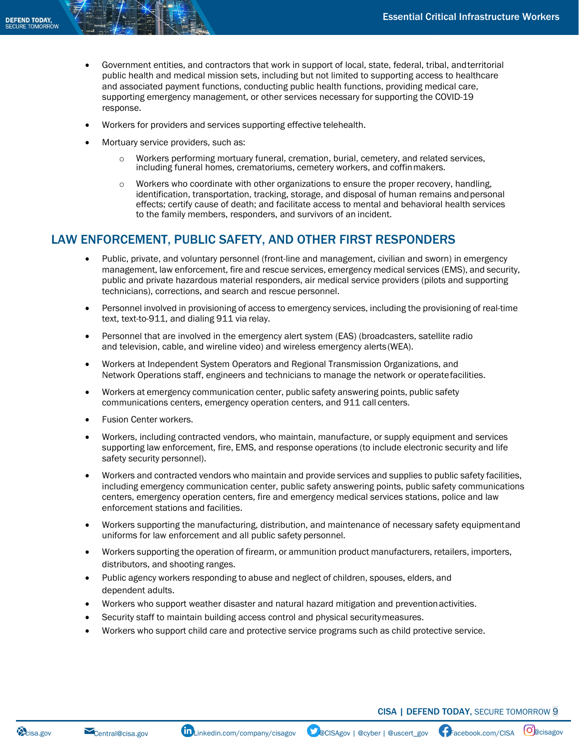- Government entities, and contractors that work in support of local, state, federal, tribal, andterritorial public health and medical mission sets, including but not limited to supporting access to healthcare and associated payment functions, conducting public health functions, providing medical care, supporting emergency management, or other services necessary for supporting the COVID-19 response.
- Workers for providers and services supporting effective telehealth.
- Mortuary service providers, such as:
	- o Workers performing mortuary funeral, cremation, burial, cemetery, and related services, including funeral homes, crematoriums, cemetery workers, and coffinmakers.
	- o Workers who coordinate with other organizations to ensure the proper recovery, handling, identification, transportation, tracking, storage, and disposal of human remains andpersonal effects; certify cause of death; and facilitate access to mental and behavioral health services to the family members, responders, and survivors of an incident.

#### LAW ENFORCEMENT, PUBLIC SAFETY, AND OTHER FIRST RESPONDERS

- Public, private, and voluntary personnel (front-line and management, civilian and sworn) in emergency management, law enforcement, fire and rescue services, emergency medical services (EMS), and security, public and private hazardous material responders, air medical service providers (pilots and supporting technicians), corrections, and search and rescue personnel.
- Personnel involved in provisioning of access to emergency services, including the provisioning of real-time text, text-to-911, and dialing 911 via relay.
- Personnel that are involved in the emergency alert system (EAS) (broadcasters, satellite radio and television, cable, and wireline video) and wireless emergency alerts(WEA).
- Workers at Independent System Operators and Regional Transmission Organizations, and Network Operations staff, engineers and technicians to manage the network or operatefacilities.
- Workers at emergency communication center, public safety answering points, public safety communications centers, emergency operation centers, and 911 call centers.
- **Fusion Center workers.**
- Workers, including contracted vendors, who maintain, manufacture, or supply equipment and services supporting law enforcement, fire, EMS, and response operations (to include electronic security and life safety security personnel).
- Workers and contracted vendors who maintain and provide services and supplies to public safety facilities, including emergency communication center, public safety answering points, public safety communications centers, emergency operation centers, fire and emergency medical services stations, police and law enforcement stations and facilities.
- Workers supporting the manufacturing, distribution, and maintenance of necessary safety equipmentand uniforms for law enforcement and all public safety personnel.
- Workers supporting the operation of firearm, or ammunition product manufacturers, retailers, importers, distributors, and shooting ranges.
- Public agency workers responding to abuse and neglect of children, spouses, elders, and dependent adults.
- Workers who support weather disaster and natural hazard mitigation and preventionactivities.
- Security staff to maintain building access control and physical securitymeasures.
- Workers who support child care and protective service programs such as child protective service.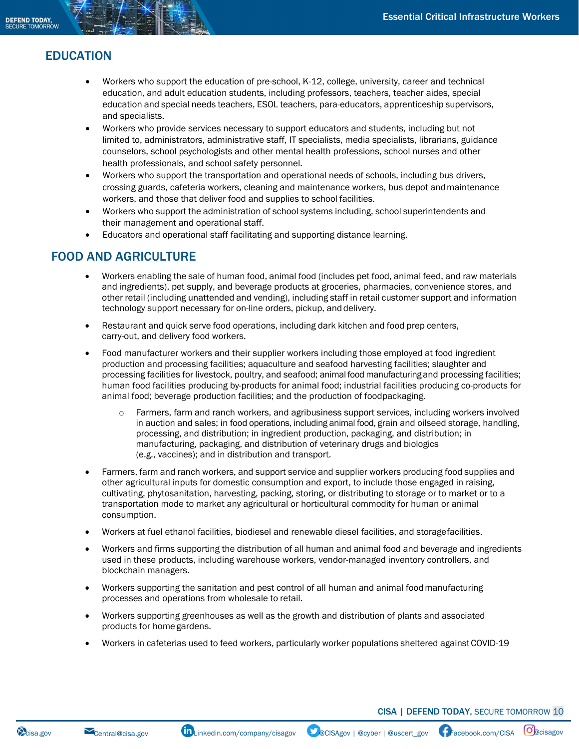# EDUCATION

- Workers who support the education of pre-school, K-12, college, university, career and technical education, and adult education students, including professors, teachers, teacher aides, special education and special needs teachers, ESOL teachers, para-educators, apprenticeship supervisors, and specialists.
- Workers who provide services necessary to support educators and students, including but not limited to, administrators, administrative staff, IT specialists, media specialists, librarians, guidance counselors, school psychologists and other mental health professions, school nurses and other health professionals, and school safety personnel.
- Workers who support the transportation and operational needs of schools, including bus drivers, crossing guards, cafeteria workers, cleaning and maintenance workers, bus depot andmaintenance workers, and those that deliver food and supplies to school facilities.
- Workers who support the administration of school systems including, school superintendents and their management and operational staff.
- Educators and operational staff facilitating and supporting distance learning.

### FOOD AND AGRICULTURE

- Workers enabling the sale of human food, animal food (includes pet food, animal feed, and raw materials and ingredients), pet supply, and beverage products at groceries, pharmacies, convenience stores, and other retail (including unattended and vending), including staff in retail customer support and information technology support necessary for on-line orders, pickup, and delivery.
- Restaurant and quick serve food operations, including dark kitchen and food prep centers, carry-out, and delivery food workers.
- Food manufacturer workers and their supplier workers including those employed at food ingredient production and processing facilities; aquaculture and seafood harvesting facilities; slaughter and processing facilities for livestock, poultry, and seafood; animal food manufacturing and processing facilities; human food facilities producing by-products for animal food; industrial facilities producing co-products for animal food; beverage production facilities; and the production of foodpackaging.
	- o Farmers, farm and ranch workers, and agribusiness support services, including workers involved in auction and sales; in food operations, including animal food, grain and oilseed storage, handling, processing, and distribution; in ingredient production, packaging, and distribution; in manufacturing, packaging, and distribution of veterinary drugs and biologics (e.g., vaccines); and in distribution and transport.
- Farmers, farm and ranch workers, and support service and supplier workers producing food supplies and other agricultural inputs for domestic consumption and export, to include those engaged in raising, cultivating, phytosanitation, harvesting, packing, storing, or distributing to storage or to market or to a transportation mode to market any agricultural or horticultural commodity for human or animal consumption.
- Workers at fuel ethanol facilities, biodiesel and renewable diesel facilities, and storagefacilities.
- Workers and firms supporting the distribution of all human and animal food and beverage and ingredients used in these products, including warehouse workers, vendor-managed inventory controllers, and blockchain managers.
- Workers supporting the sanitation and pest control of all human and animal foodmanufacturing processes and operations from wholesale to retail.
- Workers supporting greenhouses as well as the growth and distribution of plants and associated products for home gardens.
- Workers in cafeterias used to feed workers, particularly worker populations sheltered againstCOVID-19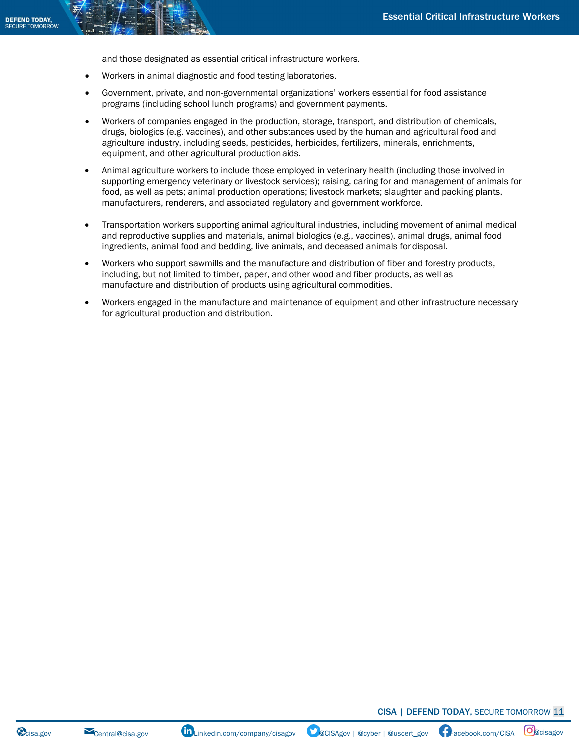and those designated as essential critical infrastructure workers.

- Workers in animal diagnostic and food testing laboratories.
- Government, private, and non-governmental organizations' workers essential for food assistance programs (including school lunch programs) and government payments.
- Workers of companies engaged in the production, storage, transport, and distribution of chemicals, drugs, biologics (e.g. vaccines), and other substances used by the human and agricultural food and agriculture industry, including seeds, pesticides, herbicides, fertilizers, minerals, enrichments, equipment, and other agricultural productionaids.
- Animal agriculture workers to include those employed in veterinary health (including those involved in supporting emergency veterinary or livestock services); raising, caring for and management of animals for food, as well as pets; animal production operations; livestock markets; slaughter and packing plants, manufacturers, renderers, and associated regulatory and government workforce.
- Transportation workers supporting animal agricultural industries, including movement of animal medical and reproductive supplies and materials, animal biologics (e.g., vaccines), animal drugs, animal food ingredients, animal food and bedding, live animals, and deceased animals fordisposal.
- Workers who support sawmills and the manufacture and distribution of fiber and forestry products, including, but not limited to timber, paper, and other wood and fiber products, as well as manufacture and distribution of products using agricultural commodities.
- Workers engaged in the manufacture and maintenance of equipment and other infrastructure necessary for agricultural production and distribution.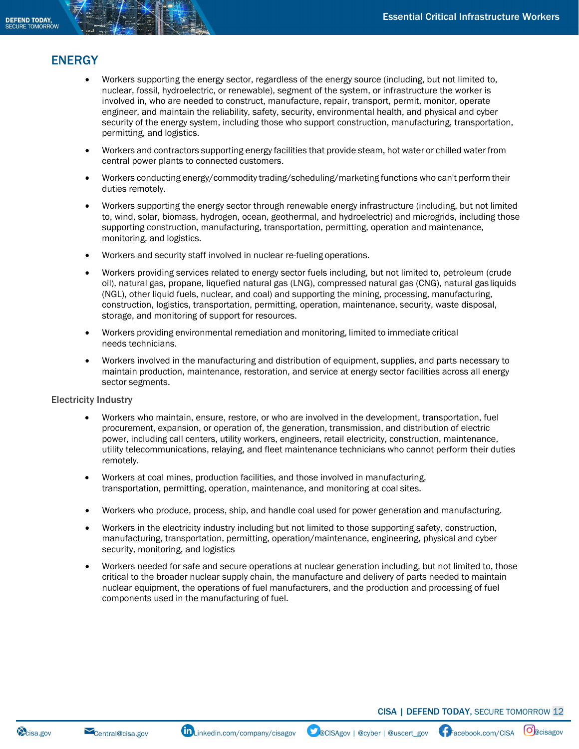## ENERGY

- Workers supporting the energy sector, regardless of the energy source (including, but not limited to, nuclear, fossil, hydroelectric, or renewable), segment of the system, or infrastructure the worker is involved in, who are needed to construct, manufacture, repair, transport, permit, monitor, operate engineer, and maintain the reliability, safety, security, environmental health, and physical and cyber security of the energy system, including those who support construction, manufacturing, transportation, permitting, and logistics.
- Workers and contractors supporting energy facilities that provide steam, hot water or chilled water from central power plants to connected customers.
- Workers conducting energy/commodity trading/scheduling/marketing functions who can't perform their duties remotely.
- Workers supporting the energy sector through renewable energy infrastructure (including, but not limited to, wind, solar, biomass, hydrogen, ocean, geothermal, and hydroelectric) and microgrids, including those supporting construction, manufacturing, transportation, permitting, operation and maintenance, monitoring, and logistics.
- Workers and security staff involved in nuclear re-fueling operations.
- Workers providing services related to energy sector fuels including, but not limited to, petroleum (crude oil), natural gas, propane, liquefied natural gas (LNG), compressed natural gas (CNG), natural gas liquids (NGL), other liquid fuels, nuclear, and coal) and supporting the mining, processing, manufacturing, construction, logistics, transportation, permitting, operation, maintenance, security, waste disposal, storage, and monitoring of support for resources.
- Workers providing environmental remediation and monitoring, limited to immediate critical needs technicians.
- Workers involved in the manufacturing and distribution of equipment, supplies, and parts necessary to maintain production, maintenance, restoration, and service at energy sector facilities across all energy sector segments.

#### Electricity Industry

- Workers who maintain, ensure, restore, or who are involved in the development, transportation, fuel procurement, expansion, or operation of, the generation, transmission, and distribution of electric power, including call centers, utility workers, engineers, retail electricity, construction, maintenance, utility telecommunications, relaying, and fleet maintenance technicians who cannot perform their duties remotely.
- Workers at coal mines, production facilities, and those involved in manufacturing, transportation, permitting, operation, maintenance, and monitoring at coal sites.
- Workers who produce, process, ship, and handle coal used for power generation and manufacturing.
- Workers in the electricity industry including but not limited to those supporting safety, construction, manufacturing, transportation, permitting, operation/maintenance, engineering, physical and cyber security, monitoring, and logistics
- Workers needed for safe and secure operations at nuclear generation including, but not limited to, those critical to the broader nuclear supply chain, the manufacture and delivery of parts needed to maintain nuclear equipment, the operations of fuel manufacturers, and the production and processing of fuel components used in the manufacturing of fuel.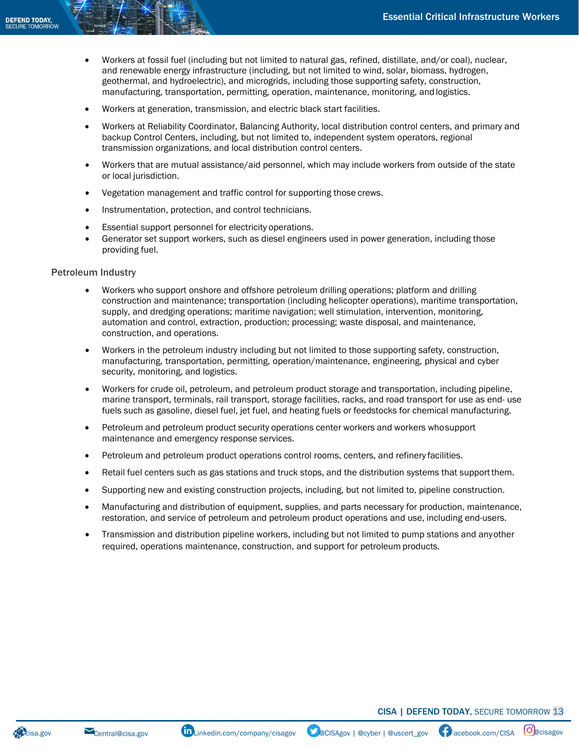- Workers at fossil fuel (including but not limited to natural gas, refined, distillate, and/or coal), nuclear, and renewable energy infrastructure (including, but not limited to wind, solar, biomass, hydrogen, geothermal, and hydroelectric), and microgrids, including those supporting safety, construction, manufacturing, transportation, permitting, operation, maintenance, monitoring, and logistics.
- Workers at generation, transmission, and electric black start facilities.
- Workers at Reliability Coordinator, Balancing Authority, local distribution control centers, and primary and backup Control Centers, including, but not limited to, independent system operators, regional transmission organizations, and local distribution control centers.
- Workers that are mutual assistance/aid personnel, which may include workers from outside of the state or local jurisdiction.
- Vegetation management and traffic control for supporting those crews.
- Instrumentation, protection, and control technicians.
- Essential support personnel for electricity operations.
- Generator set support workers, such as diesel engineers used in power generation, including those providing fuel.

#### Petroleum Industry

- Workers who support onshore and offshore petroleum drilling operations; platform and drilling construction and maintenance; transportation (including helicopter operations), maritime transportation, supply, and dredging operations; maritime navigation; well stimulation, intervention, monitoring, automation and control, extraction, production; processing; waste disposal, and maintenance, construction, and operations.
- Workers in the petroleum industry including but not limited to those supporting safety, construction, manufacturing, transportation, permitting, operation/maintenance, engineering, physical and cyber security, monitoring, and logistics.
- Workers for crude oil, petroleum, and petroleum product storage and transportation, including pipeline, marine transport, terminals, rail transport, storage facilities, racks, and road transport for use as end- use fuels such as gasoline, diesel fuel, jet fuel, and heating fuels or feedstocks for chemical manufacturing.
- Petroleum and petroleum product security operations center workers and workers whosupport maintenance and emergency response services.
- Petroleum and petroleum product operations control rooms, centers, and refinery facilities.
- Retail fuel centers such as gas stations and truck stops, and the distribution systems that support them.
- Supporting new and existing construction projects, including, but not limited to, pipeline construction.
- Manufacturing and distribution of equipment, supplies, and parts necessary for production, maintenance, restoration, and service of petroleum and petroleum product operations and use, including end-users.
- Transmission and distribution pipeline workers, including but not limited to pump stations and anyother required, operations maintenance, construction, and support for petroleum products.

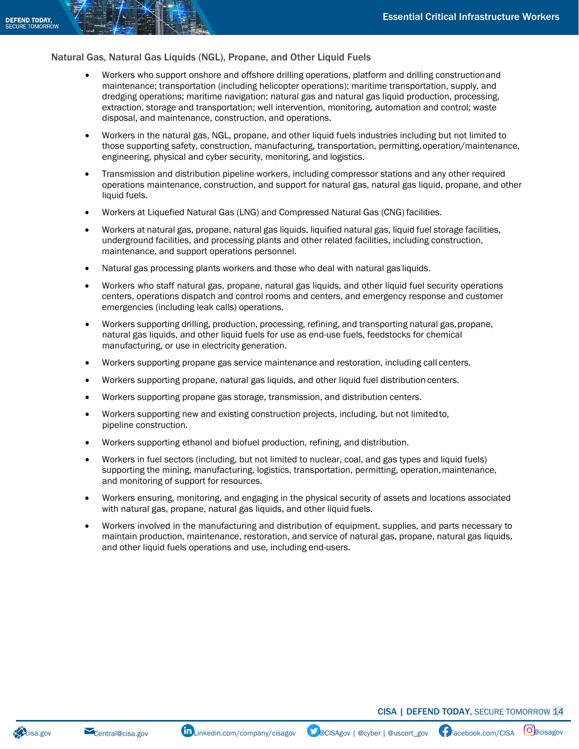#### Natural Gas, Natural Gas Liquids (NGL), Propane, and Other Liquid Fuels

- Workers who support onshore and offshore drilling operations, platform and drilling constructionand maintenance; transportation (including helicopter operations); maritime transportation, supply, and dredging operations; maritime navigation; natural gas and natural gas liquid production, processing, extraction, storage and transportation; well intervention, monitoring, automation and control; waste disposal, and maintenance, construction, and operations.
- Workers in the natural gas, NGL, propane, and other liquid fuels industries including but not limited to those supporting safety, construction, manufacturing, transportation, permitting, operation/maintenance, engineering, physical and cyber security, monitoring, and logistics.
- Transmission and distribution pipeline workers, including compressor stations and any other required operations maintenance, construction, and support for natural gas, natural gas liquid, propane, and other liquid fuels.
- Workers at Liquefied Natural Gas (LNG) and Compressed Natural Gas (CNG) facilities.
- Workers at natural gas, propane, natural gas liquids, liquified natural gas, liquid fuel storage facilities, underground facilities, and processing plants and other related facilities, including construction, maintenance, and support operations personnel.
- Natural gas processing plants workers and those who deal with natural gas liquids.
- Workers who staff natural gas, propane, natural gas liquids, and other liquid fuel security operations centers, operations dispatch and control rooms and centers, and emergency response and customer emergencies (including leak calls) operations.
- Workers supporting drilling, production, processing, refining, and transporting natural gas,propane, natural gas liquids, and other liquid fuels for use as end-use fuels, feedstocks for chemical manufacturing, or use in electricity generation.
- Workers supporting propane gas service maintenance and restoration, including call centers.
- Workers supporting propane, natural gas liquids, and other liquid fuel distribution centers.
- Workers supporting propane gas storage, transmission, and distribution centers.
- Workers supporting new and existing construction projects, including, but not limitedto, pipeline construction.
- Workers supporting ethanol and biofuel production, refining, and distribution.
- Workers in fuel sectors (including, but not limited to nuclear, coal, and gas types and liquid fuels) supporting the mining, manufacturing, logistics, transportation, permitting, operation,maintenance, and monitoring of support for resources.
- Workers ensuring, monitoring, and engaging in the physical security of assets and locations associated with natural gas, propane, natural gas liquids, and other liquid fuels.
- Workers involved in the manufacturing and distribution of equipment, supplies, and parts necessary to maintain production, maintenance, restoration, and service of natural gas, propane, natural gas liquids, and other liquid fuels operations and use, including end-users.

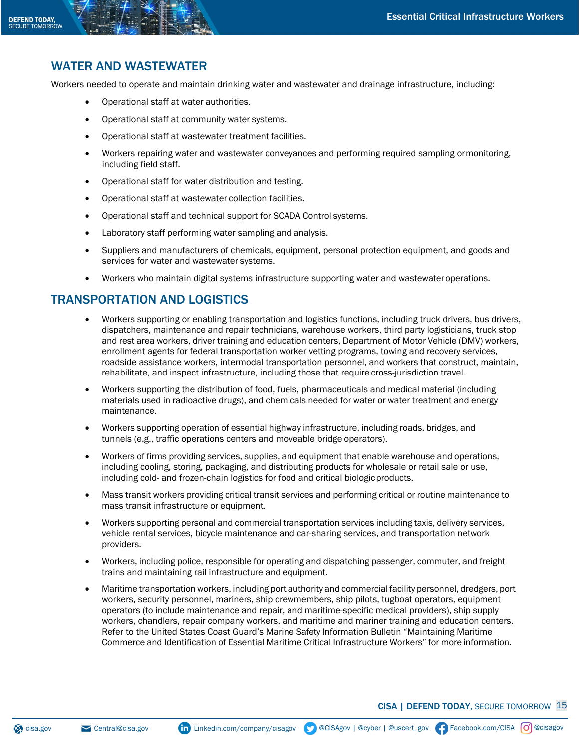## WATER AND WASTEWATER

Workers needed to operate and maintain drinking water and wastewater and drainage infrastructure, including:

- Operational staff at water authorities.
- Operational staff at community water systems.
- Operational staff at wastewater treatment facilities.
- Workers repairing water and wastewater conveyances and performing required sampling ormonitoring, including field staff.
- Operational staff for water distribution and testing.
- Operational staff at wastewater collection facilities.
- Operational staff and technical support for SCADA Control systems.
- Laboratory staff performing water sampling and analysis.
- Suppliers and manufacturers of chemicals, equipment, personal protection equipment, and goods and services for water and wastewater systems.
- Workers who maintain digital systems infrastructure supporting water and wastewateroperations.

### TRANSPORTATION AND LOGISTICS

- Workers supporting or enabling transportation and logistics functions, including truck drivers, bus drivers, dispatchers, maintenance and repair technicians, warehouse workers, third party logisticians, truck stop and rest area workers, driver training and education centers, Department of Motor Vehicle (DMV) workers, enrollment agents for federal transportation worker vetting programs, towing and recovery services, roadside assistance workers, intermodal transportation personnel, and workers that construct, maintain, rehabilitate, and inspect infrastructure, including those that require cross-jurisdiction travel.
- Workers supporting the distribution of food, fuels, pharmaceuticals and medical material (including materials used in radioactive drugs), and chemicals needed for water or water treatment and energy maintenance.
- Workers supporting operation of essential highway infrastructure, including roads, bridges, and tunnels (e.g., traffic operations centers and moveable bridge operators).
- Workers of firms providing services, supplies, and equipment that enable warehouse and operations, including cooling, storing, packaging, and distributing products for wholesale or retail sale or use, including cold- and frozen-chain logistics for food and critical biologicproducts.
- Mass transit workers providing critical transit services and performing critical or routine maintenance to mass transit infrastructure or equipment.
- Workers supporting personal and commercial transportation services including taxis, delivery services, vehicle rental services, bicycle maintenance and car-sharing services, and transportation network providers.
- Workers, including police, responsible for operating and dispatching passenger, commuter, and freight trains and maintaining rail infrastructure and equipment.
- Maritime transportation workers, including port authority and commercial facility personnel, dredgers, port workers, security personnel, mariners, ship crewmembers, ship pilots, tugboat operators, equipment operators (to include maintenance and repair, and maritime-specific medical providers), ship supply workers, chandlers, repair company workers, and maritime and mariner training and education centers. Refer to the United States Coast Guard's Marine Safety Information Bulletin "Maintaining Maritime Commerce and Identification of Essential Maritime Critical Infrastructure Workers" for more information.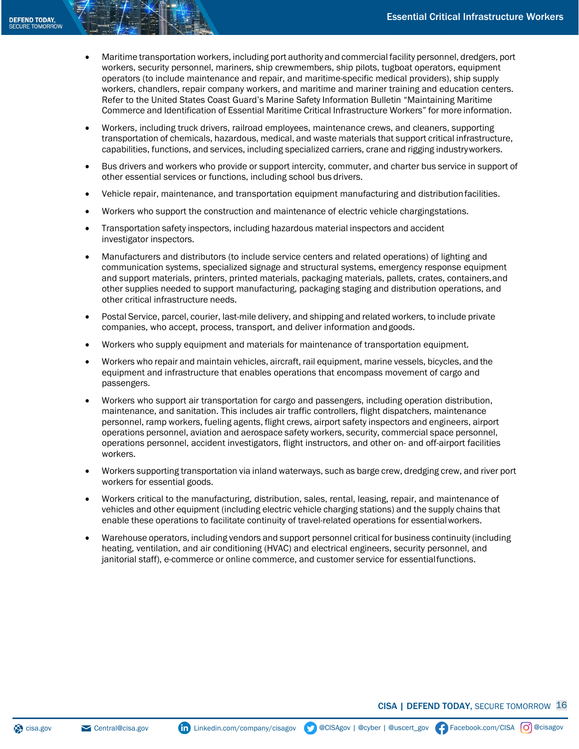- Maritime transportation workers, including port authority and commercial facility personnel, dredgers, port workers, security personnel, mariners, ship crewmembers, ship pilots, tugboat operators, equipment operators (to include maintenance and repair, and maritime-specific medical providers), ship supply workers, chandlers, repair company workers, and maritime and mariner training and education centers. Refer to the United States Coast Guard's Marine Safety Information Bulletin "Maintaining Maritime Commerce and Identification of Essential Maritime Critical Infrastructure Workers" for more information.
- Workers, including truck drivers, railroad employees, maintenance crews, and cleaners, supporting transportation of chemicals, hazardous, medical, and waste materials that support critical infrastructure, capabilities, functions, and services, including specialized carriers, crane and rigging industryworkers.
- Bus drivers and workers who provide or support intercity, commuter, and charter bus service in support of other essential services or functions, including school bus drivers.
- Vehicle repair, maintenance, and transportation equipment manufacturing and distributionfacilities.
- Workers who support the construction and maintenance of electric vehicle chargingstations.
- Transportation safety inspectors, including hazardous material inspectors and accident investigator inspectors.
- Manufacturers and distributors (to include service centers and related operations) of lighting and communication systems, specialized signage and structural systems, emergency response equipment and support materials, printers, printed materials, packaging materials, pallets, crates, containers,and other supplies needed to support manufacturing, packaging staging and distribution operations, and other critical infrastructure needs.
- Postal Service, parcel, courier, last-mile delivery, and shipping and related workers, to include private companies, who accept, process, transport, and deliver information andgoods.
- Workers who supply equipment and materials for maintenance of transportation equipment.
- Workers who repair and maintain vehicles, aircraft, rail equipment, marine vessels, bicycles, and the equipment and infrastructure that enables operations that encompass movement of cargo and passengers.
- Workers who support air transportation for cargo and passengers, including operation distribution, maintenance, and sanitation. This includes air traffic controllers, flight dispatchers, maintenance personnel, ramp workers, fueling agents, flight crews, airport safety inspectors and engineers, airport operations personnel, aviation and aerospace safety workers, security, commercial space personnel, operations personnel, accident investigators, flight instructors, and other on- and off-airport facilities workers.
- Workers supporting transportation via inland waterways, such as barge crew, dredging crew, and river port workers for essential goods.
- Workers critical to the manufacturing, distribution, sales, rental, leasing, repair, and maintenance of vehicles and other equipment (including electric vehicle charging stations) and the supply chains that enable these operations to facilitate continuity of travel-related operations for essentialworkers.
- Warehouse operators, including vendors and support personnel critical for business continuity (including heating, ventilation, and air conditioning (HVAC) and electrical engineers, security personnel, and janitorial staff), e-commerce or online commerce, and customer service for essentialfunctions.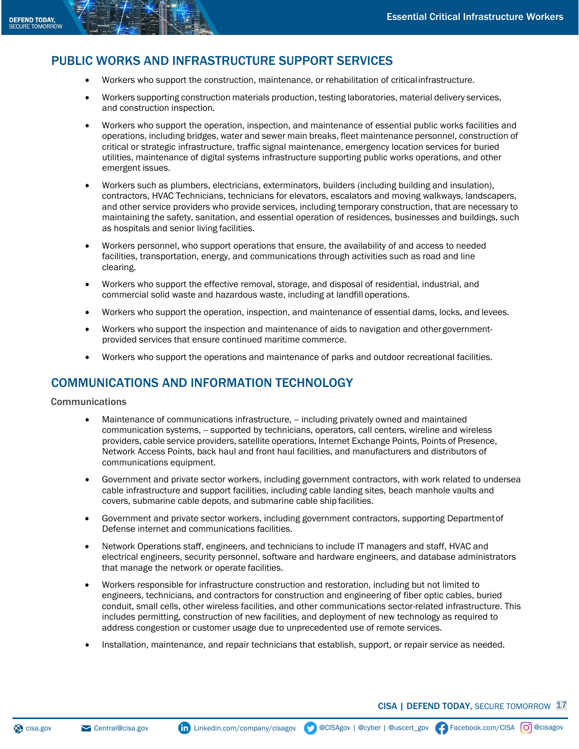## PUBLIC WORKS AND INFRASTRUCTURE SUPPORT SERVICES

- Workers who support the construction, maintenance, or rehabilitation of criticalinfrastructure.
- Workers supporting construction materials production, testing laboratories, material delivery services, and construction inspection.
- Workers who support the operation, inspection, and maintenance of essential public works facilities and operations, including bridges, water and sewer main breaks, fleet maintenance personnel, construction of critical or strategic infrastructure, traffic signal maintenance, emergency location services for buried utilities, maintenance of digital systems infrastructure supporting public works operations, and other emergent issues.
- Workers such as plumbers, electricians, exterminators, builders (including building and insulation), contractors, HVAC Technicians, technicians for elevators, escalators and moving walkways, landscapers, and other service providers who provide services, including temporary construction, that are necessary to maintaining the safety, sanitation, and essential operation of residences, businesses and buildings, such as hospitals and senior living facilities.
- Workers personnel, who support operations that ensure, the availability of and access to needed facilities, transportation, energy, and communications through activities such as road and line clearing.
- Workers who support the effective removal, storage, and disposal of residential, industrial, and commercial solid waste and hazardous waste, including at landfill operations.
- Workers who support the operation, inspection, and maintenance of essential dams, locks, and levees.
- Workers who support the inspection and maintenance of aids to navigation and othergovernmentprovided services that ensure continued maritime commerce.
- Workers who support the operations and maintenance of parks and outdoor recreational facilities.

## COMMUNICATIONS AND INFORMATION TECHNOLOGY

#### Communications

- Maintenance of communications infrastructure, -- including privately owned and maintained communication systems, -- supported by technicians, operators, call centers, wireline and wireless providers, cable service providers, satellite operations, Internet Exchange Points, Points of Presence, Network Access Points, back haul and front haul facilities, and manufacturers and distributors of communications equipment.
- Government and private sector workers, including government contractors, with work related to undersea cable infrastructure and support facilities, including cable landing sites, beach manhole vaults and covers, submarine cable depots, and submarine cable ship facilities.
- Government and private sector workers, including government contractors, supporting Departmentof Defense internet and communications facilities.
- Network Operations staff, engineers, and technicians to include IT managers and staff, HVAC and electrical engineers, security personnel, software and hardware engineers, and database administrators that manage the network or operate facilities.
- Workers responsible for infrastructure construction and restoration, including but not limited to engineers, technicians, and contractors for construction and engineering of fiber optic cables, buried conduit, small cells, other wireless facilities, and other communications sector-related infrastructure. This includes permitting, construction of new facilities, and deployment of new technology as required to address congestion or customer usage due to unprecedented use of remote services.
- Installation, maintenance, and repair technicians that establish, support, or repair service as needed.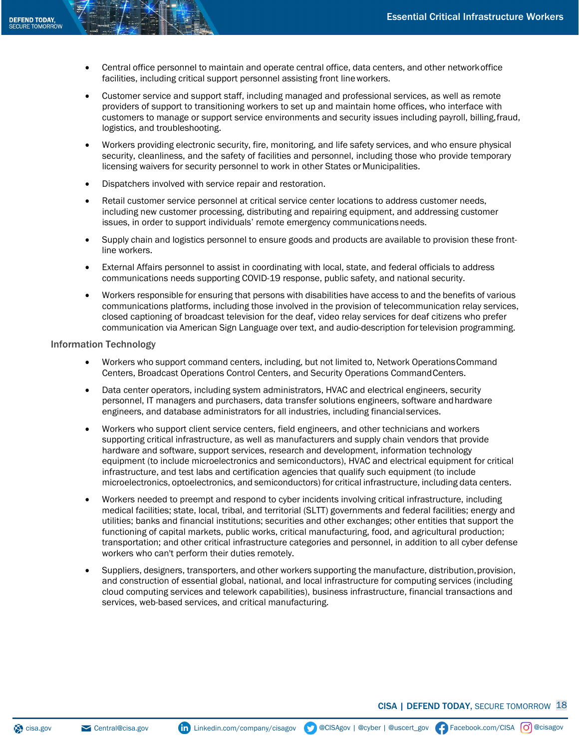- Central office personnel to maintain and operate central office, data centers, and other networkoffice facilities, including critical support personnel assisting front lineworkers.
- Customer service and support staff, including managed and professional services, as well as remote providers of support to transitioning workers to set up and maintain home offices, who interface with customers to manage or support service environments and security issues including payroll, billing,fraud, logistics, and troubleshooting.
- Workers providing electronic security, fire, monitoring, and life safety services, and who ensure physical security, cleanliness, and the safety of facilities and personnel, including those who provide temporary licensing waivers for security personnel to work in other States or Municipalities.
- Dispatchers involved with service repair and restoration.
- Retail customer service personnel at critical service center locations to address customer needs, including new customer processing, distributing and repairing equipment, and addressing customer issues, in order to support individuals' remote emergency communications needs.
- Supply chain and logistics personnel to ensure goods and products are available to provision these frontline workers.
- External Affairs personnel to assist in coordinating with local, state, and federal officials to address communications needs supporting COVID-19 response, public safety, and national security.
- Workers responsible for ensuring that persons with disabilities have access to and the benefits of various communications platforms, including those involved in the provision of telecommunication relay services, closed captioning of broadcast television for the deaf, video relay services for deaf citizens who prefer communication via American Sign Language over text, and audio-description fortelevision programming.

#### Information Technology

- Workers who support command centers, including, but not limited to, Network OperationsCommand Centers, Broadcast Operations Control Centers, and Security Operations CommandCenters.
- Data center operators, including system administrators, HVAC and electrical engineers, security personnel, IT managers and purchasers, data transfer solutions engineers, software andhardware engineers, and database administrators for all industries, including financialservices.
- Workers who support client service centers, field engineers, and other technicians and workers supporting critical infrastructure, as well as manufacturers and supply chain vendors that provide hardware and software, support services, research and development, information technology equipment (to include microelectronics and semiconductors), HVAC and electrical equipment for critical infrastructure, and test labs and certification agencies that qualify such equipment (to include microelectronics, optoelectronics, and semiconductors) for critical infrastructure, including data centers.
- Workers needed to preempt and respond to cyber incidents involving critical infrastructure, including medical facilities; state, local, tribal, and territorial (SLTT) governments and federal facilities; energy and utilities; banks and financial institutions; securities and other exchanges; other entities that support the functioning of capital markets, public works, critical manufacturing, food, and agricultural production; transportation; and other critical infrastructure categories and personnel, in addition to all cyber defense workers who can't perform their duties remotely.
- Suppliers, designers, transporters, and other workers supporting the manufacture, distribution, provision, and construction of essential global, national, and local infrastructure for computing services (including cloud computing services and telework capabilities), business infrastructure, financial transactions and services, web-based services, and critical manufacturing.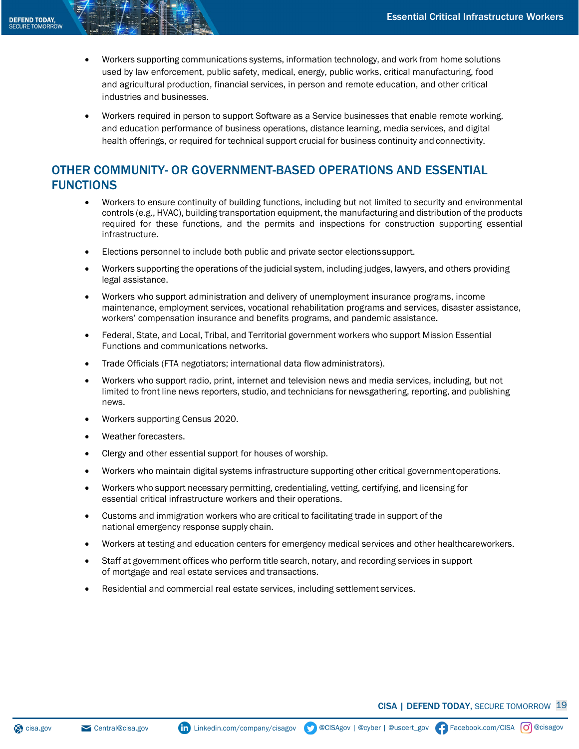- Workers supporting communications systems, information technology, and work from home solutions used by law enforcement, public safety, medical, energy, public works, critical manufacturing, food and agricultural production, financial services, in person and remote education, and other critical industries and businesses.
- Workers required in person to support Software as a Service businesses that enable remote working, and education performance of business operations, distance learning, media services, and digital health offerings, or required for technical support crucial for business continuity and connectivity.

## OTHER COMMUNITY- OR GOVERNMENT-BASED OPERATIONS AND ESSENTIAL FUNCTIONS

- Workers to ensure continuity of building functions, including but not limited to security and environmental controls (e.g., HVAC), building transportation equipment, the manufacturing and distribution of the products required for these functions, and the permits and inspections for construction supporting essential infrastructure.
- Elections personnel to include both public and private sector electionssupport.
- Workers supporting the operations of the judicial system, including judges, lawyers, and others providing legal assistance.
- Workers who support administration and delivery of unemployment insurance programs, income maintenance, employment services, vocational rehabilitation programs and services, disaster assistance, workers' compensation insurance and benefits programs, and pandemic assistance.
- Federal, State, and Local, Tribal, and Territorial government workers who support Mission Essential Functions and communications networks.
- Trade Officials (FTA negotiators; international data flow administrators).
- Workers who support radio, print, internet and television news and media services, including, but not limited to front line news reporters, studio, and technicians for newsgathering, reporting, and publishing news.
- Workers supporting Census 2020.
- Weather forecasters.
- Clergy and other essential support for houses of worship.
- Workers who maintain digital systems infrastructure supporting other critical governmentoperations.
- Workers who support necessary permitting, credentialing, vetting, certifying, and licensing for essential critical infrastructure workers and their operations.
- Customs and immigration workers who are critical to facilitating trade in support of the national emergency response supply chain.
- Workers at testing and education centers for emergency medical services and other healthcareworkers.
- Staff at government offices who perform title search, notary, and recording services in support of mortgage and real estate services and transactions.
- Residential and commercial real estate services, including settlement services.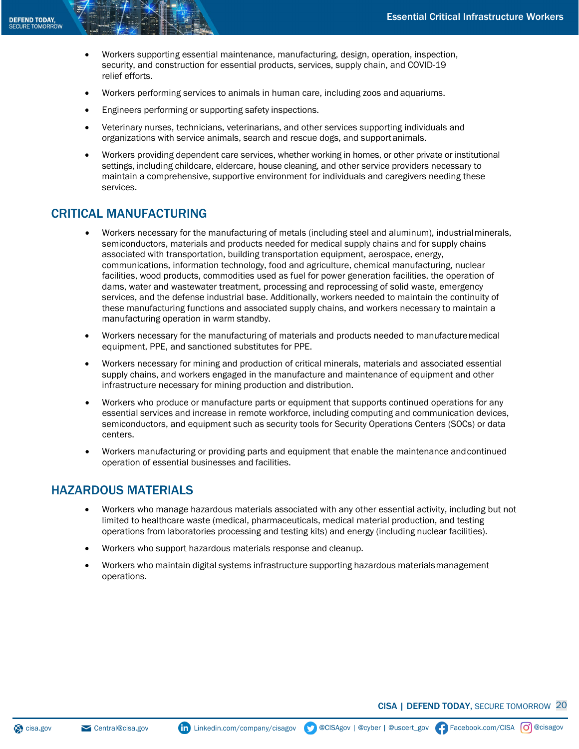- Workers supporting essential maintenance, manufacturing, design, operation, inspection, security, and construction for essential products, services, supply chain, and COVID-19 relief efforts.
- Workers performing services to animals in human care, including zoos and aquariums.
- Engineers performing or supporting safety inspections.
- Veterinary nurses, technicians, veterinarians, and other services supporting individuals and organizations with service animals, search and rescue dogs, and supportanimals.
- Workers providing dependent care services, whether working in homes, or other private or institutional settings, including childcare, eldercare, house cleaning, and other service providers necessary to maintain a comprehensive, supportive environment for individuals and caregivers needing these services.

### CRITICAL MANUFACTURING

- Workers necessary for the manufacturing of metals (including steel and aluminum), industrialminerals, semiconductors, materials and products needed for medical supply chains and for supply chains associated with transportation, building transportation equipment, aerospace, energy, communications, information technology, food and agriculture, chemical manufacturing, nuclear facilities, wood products, commodities used as fuel for power generation facilities, the operation of dams, water and wastewater treatment, processing and reprocessing of solid waste, emergency services, and the defense industrial base. Additionally, workers needed to maintain the continuity of these manufacturing functions and associated supply chains, and workers necessary to maintain a manufacturing operation in warm standby.
- Workers necessary for the manufacturing of materials and products needed to manufacturemedical equipment, PPE, and sanctioned substitutes for PPE.
- Workers necessary for mining and production of critical minerals, materials and associated essential supply chains, and workers engaged in the manufacture and maintenance of equipment and other infrastructure necessary for mining production and distribution.
- Workers who produce or manufacture parts or equipment that supports continued operations for any essential services and increase in remote workforce, including computing and communication devices, semiconductors, and equipment such as security tools for Security Operations Centers (SOCs) or data centers.
- Workers manufacturing or providing parts and equipment that enable the maintenance andcontinued operation of essential businesses and facilities.

#### HAZARDOUS MATERIALS

- Workers who manage hazardous materials associated with any other essential activity, including but not limited to healthcare waste (medical, pharmaceuticals, medical material production, and testing operations from laboratories processing and testing kits) and energy (including nuclear facilities).
- Workers who support hazardous materials response and cleanup.
- Workers who maintain digital systems infrastructure supporting hazardous materialsmanagement operations.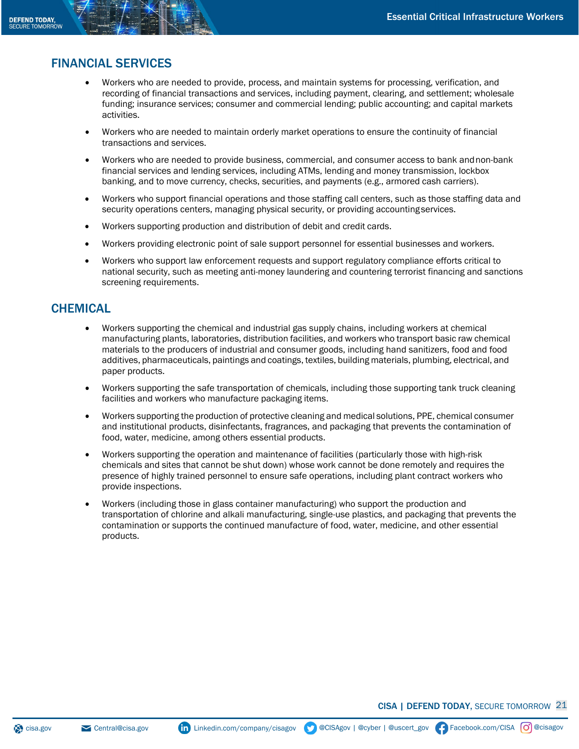# FINANCIAL SERVICES

- Workers who are needed to provide, process, and maintain systems for processing, verification, and recording of financial transactions and services, including payment, clearing, and settlement; wholesale funding; insurance services; consumer and commercial lending; public accounting; and capital markets activities.
- Workers who are needed to maintain orderly market operations to ensure the continuity of financial transactions and services.
- Workers who are needed to provide business, commercial, and consumer access to bank andnon-bank financial services and lending services, including ATMs, lending and money transmission, lockbox banking, and to move currency, checks, securities, and payments (e.g., armored cash carriers).
- Workers who support financial operations and those staffing call centers, such as those staffing data and security operations centers, managing physical security, or providing accountingservices.
- Workers supporting production and distribution of debit and credit cards.
- Workers providing electronic point of sale support personnel for essential businesses and workers.
- Workers who support law enforcement requests and support regulatory compliance efforts critical to national security, such as meeting anti-money laundering and countering terrorist financing and sanctions screening requirements.

### **CHEMICAL**

- Workers supporting the chemical and industrial gas supply chains, including workers at chemical manufacturing plants, laboratories, distribution facilities, and workers who transport basic raw chemical materials to the producers of industrial and consumer goods, including hand sanitizers, food and food additives, pharmaceuticals, paintings and coatings, textiles, building materials, plumbing, electrical, and paper products.
- Workers supporting the safe transportation of chemicals, including those supporting tank truck cleaning facilities and workers who manufacture packaging items.
- Workers supporting the production of protective cleaning and medical solutions, PPE, chemical consumer and institutional products, disinfectants, fragrances, and packaging that prevents the contamination of food, water, medicine, among others essential products.
- Workers supporting the operation and maintenance of facilities (particularly those with high-risk chemicals and sites that cannot be shut down) whose work cannot be done remotely and requires the presence of highly trained personnel to ensure safe operations, including plant contract workers who provide inspections.
- Workers (including those in glass container manufacturing) who support the production and transportation of chlorine and alkali manufacturing, single-use plastics, and packaging that prevents the contamination or supports the continued manufacture of food, water, medicine, and other essential products.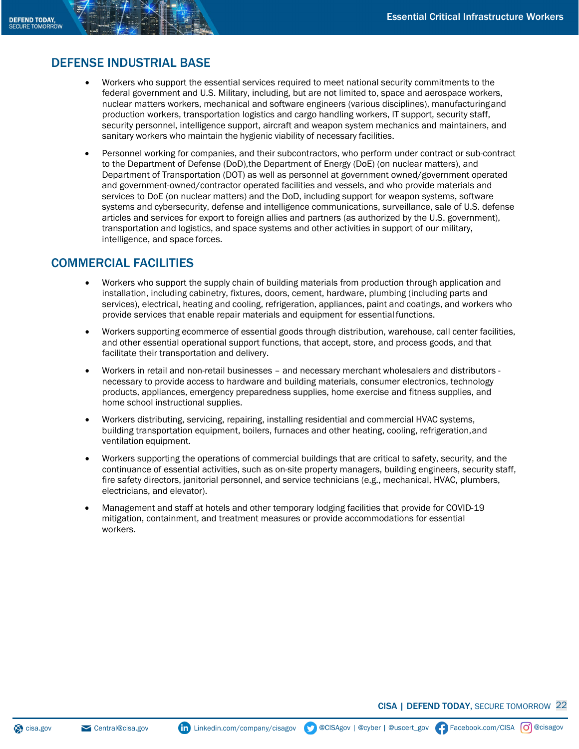## DEFENSE INDUSTRIAL BASE

- Workers who support the essential services required to meet national security commitments to the federal government and U.S. Military, including, but are not limited to, space and aerospace workers, nuclear matters workers, mechanical and software engineers (various disciplines), manufacturingand production workers, transportation logistics and cargo handling workers, IT support, security staff, security personnel, intelligence support, aircraft and weapon system mechanics and maintainers, and sanitary workers who maintain the hygienic viability of necessary facilities.
- Personnel working for companies, and their subcontractors, who perform under contract or sub-contract to the Department of Defense (DoD),the Department of Energy (DoE) (on nuclear matters), and Department of Transportation (DOT) as well as personnel at government owned/government operated and government-owned/contractor operated facilities and vessels, and who provide materials and services to DoE (on nuclear matters) and the DoD, including support for weapon systems, software systems and cybersecurity, defense and intelligence communications, surveillance, sale of U.S. defense articles and services for export to foreign allies and partners (as authorized by the U.S. government), transportation and logistics, and space systems and other activities in support of our military, intelligence, and space forces.

### COMMERCIAL FACILITIES

- Workers who support the supply chain of building materials from production through application and installation, including cabinetry, fixtures, doors, cement, hardware, plumbing (including parts and services), electrical, heating and cooling, refrigeration, appliances, paint and coatings, and workers who provide services that enable repair materials and equipment for essentialfunctions.
- Workers supporting ecommerce of essential goods through distribution, warehouse, call center facilities, and other essential operational support functions, that accept, store, and process goods, and that facilitate their transportation and delivery.
- Workers in retail and non-retail businesses and necessary merchant wholesalers and distributors necessary to provide access to hardware and building materials, consumer electronics, technology products, appliances, emergency preparedness supplies, home exercise and fitness supplies, and home school instructional supplies.
- Workers distributing, servicing, repairing, installing residential and commercial HVAC systems, building transportation equipment, boilers, furnaces and other heating, cooling, refrigeration,and ventilation equipment.
- Workers supporting the operations of commercial buildings that are critical to safety, security, and the continuance of essential activities, such as on-site property managers, building engineers, security staff, fire safety directors, janitorial personnel, and service technicians (e.g., mechanical, HVAC, plumbers, electricians, and elevator).
- Management and staff at hotels and other temporary lodging facilities that provide for COVID-19 mitigation, containment, and treatment measures or provide accommodations for essential workers.